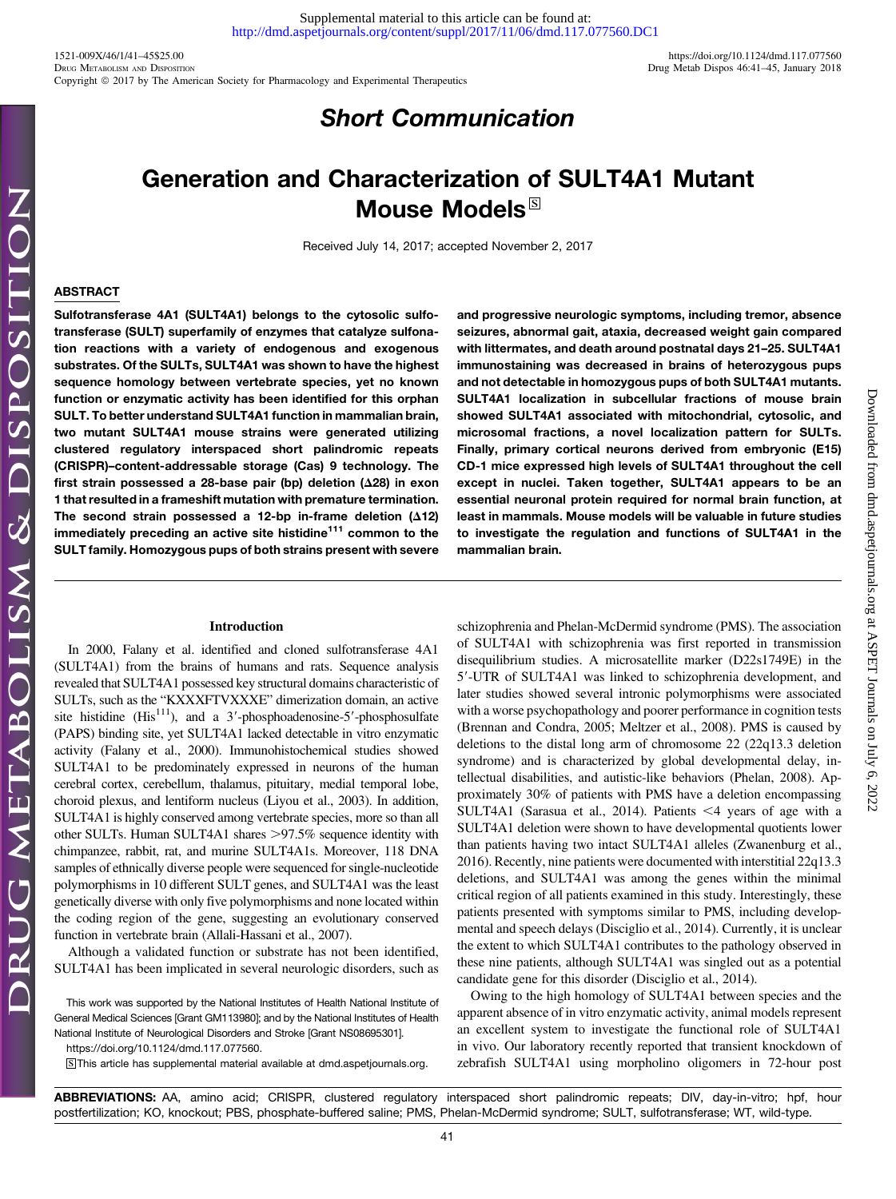Downloaded from [dmd.aspetjournals.org](http://dmd.aspetjournals.org/) at ASPET Journals on July 6, 2022

Downloaded from dmd.aspetjournals.org at ASPET Journals on July 6, 2022

# Short Communication

# Generation and Characterization of SULT4A1 Mutant Mouse Models $^{\boxtimes}$

Received July 14, 2017; accepted November 2, 2017

# ABSTRACT

Sulfotransferase 4A1 (SULT4A1) belongs to the cytosolic sulfotransferase (SULT) superfamily of enzymes that catalyze sulfonation reactions with a variety of endogenous and exogenous substrates. Of the SULTs, SULT4A1 was shown to have the highest sequence homology between vertebrate species, yet no known function or enzymatic activity has been identified for this orphan SULT. To better understand SULT4A1 function in mammalian brain, two mutant SULT4A1 mouse strains were generated utilizing clustered regulatory interspaced short palindromic repeats (CRISPR)–content-addressable storage (Cas) 9 technology. The first strain possessed a 28-base pair (bp) deletion ( $\Delta$ 28) in exon 1 that resulted in a frameshift mutation with premature termination. The second strain possessed a 12-bp in-frame deletion  $(\Delta 12)$ immediately preceding an active site histidine<sup>111</sup> common to the SULT family. Homozygous pups of both strains present with severe and progressive neurologic symptoms, including tremor, absence seizures, abnormal gait, ataxia, decreased weight gain compared with littermates, and death around postnatal days 21–25. SULT4A1 immunostaining was decreased in brains of heterozygous pups and not detectable in homozygous pups of both SULT4A1 mutants. SULT4A1 localization in subcellular fractions of mouse brain showed SULT4A1 associated with mitochondrial, cytosolic, and microsomal fractions, a novel localization pattern for SULTs. Finally, primary cortical neurons derived from embryonic (E15) CD-1 mice expressed high levels of SULT4A1 throughout the cell except in nuclei. Taken together, SULT4A1 appears to be an essential neuronal protein required for normal brain function, at least in mammals. Mouse models will be valuable in future studies to investigate the regulation and functions of SULT4A1 in the mammalian brain.

### Introduction

In 2000, Falany et al. identified and cloned sulfotransferase 4A1 (SULT4A1) from the brains of humans and rats. Sequence analysis revealed that SULT4A1 possessed key structural domains characteristic of SULTs, such as the "KXXXFTVXXXE" dimerization domain, an active site histidine (His<sup>111</sup>), and a 3'-phosphoadenosine-5'-phosphosulfate (PAPS) binding site, yet SULT4A1 lacked detectable in vitro enzymatic activity (Falany et al., 2000). Immunohistochemical studies showed SULT4A1 to be predominately expressed in neurons of the human cerebral cortex, cerebellum, thalamus, pituitary, medial temporal lobe, choroid plexus, and lentiform nucleus (Liyou et al., 2003). In addition, SULT4A1 is highly conserved among vertebrate species, more so than all other SULTs. Human SULT4A1 shares >97.5% sequence identity with chimpanzee, rabbit, rat, and murine SULT4A1s. Moreover, 118 DNA samples of ethnically diverse people were sequenced for single-nucleotide polymorphisms in 10 different SULT genes, and SULT4A1 was the least genetically diverse with only five polymorphisms and none located within the coding region of the gene, suggesting an evolutionary conserved function in vertebrate brain (Allali-Hassani et al., 2007).

Although a validated function or substrate has not been identified, SULT4A1 has been implicated in several neurologic disorders, such as

This work was supported by the National Institutes of Health National Institute of General Medical Sciences [Grant GM113980]; and by the National Institutes of Health National Institute of Neurological Disorders and Stroke [Grant NS08695301].

S This article has supplemental material available at [dmd.aspetjournals.org.](http://dmd.aspetjournals.org)

schizophrenia and Phelan-McDermid syndrome (PMS). The association of SULT4A1 with schizophrenia was first reported in transmission disequilibrium studies. A microsatellite marker (D22s1749E) in the 5'-UTR of SULT4A1 was linked to schizophrenia development, and later studies showed several intronic polymorphisms were associated with a worse psychopathology and poorer performance in cognition tests (Brennan and Condra, 2005; Meltzer et al., 2008). PMS is caused by deletions to the distal long arm of chromosome 22 (22q13.3 deletion syndrome) and is characterized by global developmental delay, intellectual disabilities, and autistic-like behaviors (Phelan, 2008). Approximately 30% of patients with PMS have a deletion encompassing SULT4A1 (Sarasua et al., 2014). Patients  $\leq 4$  years of age with a SULT4A1 deletion were shown to have developmental quotients lower than patients having two intact SULT4A1 alleles (Zwanenburg et al., 2016). Recently, nine patients were documented with interstitial 22q13.3 deletions, and SULT4A1 was among the genes within the minimal critical region of all patients examined in this study. Interestingly, these patients presented with symptoms similar to PMS, including developmental and speech delays (Disciglio et al., 2014). Currently, it is unclear the extent to which SULT4A1 contributes to the pathology observed in these nine patients, although SULT4A1 was singled out as a potential candidate gene for this disorder (Disciglio et al., 2014).

Owing to the high homology of SULT4A1 between species and the apparent absence of in vitro enzymatic activity, animal models represent an excellent system to investigate the functional role of SULT4A1 in vivo. Our laboratory recently reported that transient knockdown of zebrafish SULT4A1 using morpholino oligomers in 72-hour post

ABBREVIATIONS: AA, amino acid; CRISPR, clustered regulatory interspaced short palindromic repeats; DIV, day-in-vitro; hpf, hour postfertilization; KO, knockout; PBS, phosphate-buffered saline; PMS, Phelan-McDermid syndrome; SULT, sulfotransferase; WT, wild-type.

<https://doi.org/10.1124/dmd.117.077560>.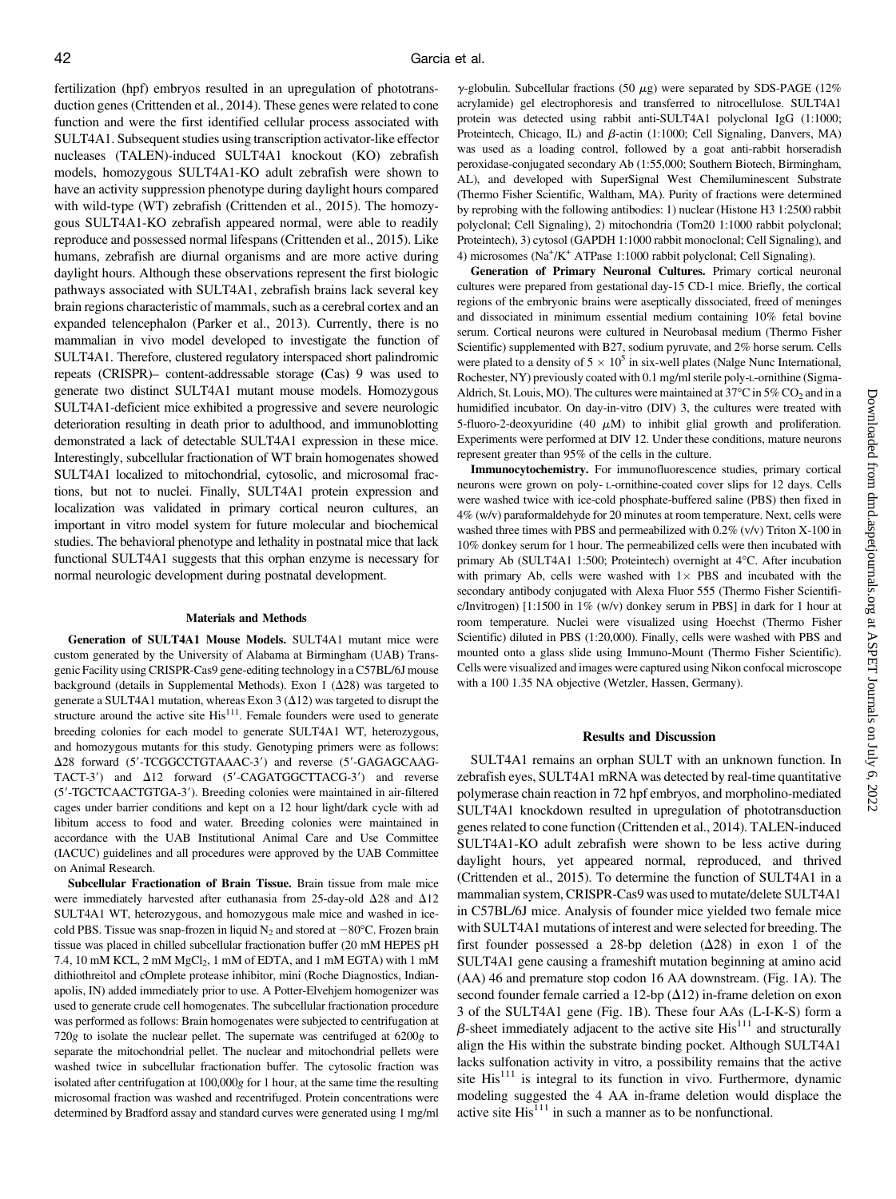fertilization (hpf) embryos resulted in an upregulation of phototransduction genes (Crittenden et al., 2014). These genes were related to cone function and were the first identified cellular process associated with SULT4A1. Subsequent studies using transcription activator-like effector nucleases (TALEN)-induced SULT4A1 knockout (KO) zebrafish models, homozygous SULT4A1-KO adult zebrafish were shown to have an activity suppression phenotype during daylight hours compared with wild-type (WT) zebrafish (Crittenden et al., 2015). The homozygous SULT4A1-KO zebrafish appeared normal, were able to readily reproduce and possessed normal lifespans (Crittenden et al., 2015). Like humans, zebrafish are diurnal organisms and are more active during daylight hours. Although these observations represent the first biologic pathways associated with SULT4A1, zebrafish brains lack several key brain regions characteristic of mammals, such as a cerebral cortex and an expanded telencephalon (Parker et al., 2013). Currently, there is no mammalian in vivo model developed to investigate the function of SULT4A1. Therefore, clustered regulatory interspaced short palindromic repeats (CRISPR)– content-addressable storage (Cas) 9 was used to generate two distinct SULT4A1 mutant mouse models. Homozygous SULT4A1-deficient mice exhibited a progressive and severe neurologic deterioration resulting in death prior to adulthood, and immunoblotting demonstrated a lack of detectable SULT4A1 expression in these mice. Interestingly, subcellular fractionation of WT brain homogenates showed SULT4A1 localized to mitochondrial, cytosolic, and microsomal fractions, but not to nuclei. Finally, SULT4A1 protein expression and localization was validated in primary cortical neuron cultures, an important in vitro model system for future molecular and biochemical studies. The behavioral phenotype and lethality in postnatal mice that lack functional SULT4A1 suggests that this orphan enzyme is necessary for normal neurologic development during postnatal development.

#### Materials and Methods

Generation of SULT4A1 Mouse Models. SULT4A1 mutant mice were custom generated by the University of Alabama at Birmingham (UAB) Transgenic Facility using CRISPR-Cas9 gene-editing technology in a C57BL/6J mouse background (details in [Supplemental Methods\)](http://dmd.aspetjournals.org/lookup/suppl/doi:10.1124/dmd.117.077560/-/DC1). Exon 1  $(\Delta 28)$  was targeted to generate a SULT4A1 mutation, whereas Exon 3 ( $\Delta$ 12) was targeted to disrupt the structure around the active site  $His<sup>111</sup>$ . Female founders were used to generate breeding colonies for each model to generate SULT4A1 WT, heterozygous, and homozygous mutants for this study. Genotyping primers were as follows:  $\Delta$ 28 forward (5'-TCGGCCTGTAAAC-3') and reverse (5'-GAGAGCAAG-TACT-3') and  $\Delta 12$  forward (5'-CAGATGGCTTACG-3') and reverse (5'-TGCTCAACTGTGA-3'). Breeding colonies were maintained in air-filtered cages under barrier conditions and kept on a 12 hour light/dark cycle with ad libitum access to food and water. Breeding colonies were maintained in accordance with the UAB Institutional Animal Care and Use Committee (IACUC) guidelines and all procedures were approved by the UAB Committee on Animal Research.

Subcellular Fractionation of Brain Tissue. Brain tissue from male mice were immediately harvested after euthanasia from 25-day-old  $\Delta 28$  and  $\Delta 12$ SULT4A1 WT, heterozygous, and homozygous male mice and washed in icecold PBS. Tissue was snap-frozen in liquid  $N_2$  and stored at  $-80^{\circ}$ C. Frozen brain tissue was placed in chilled subcellular fractionation buffer (20 mM HEPES pH 7.4, 10 mM KCL, 2 mM  $MgCl<sub>2</sub>$ , 1 mM of EDTA, and 1 mM EGTA) with 1 mM dithiothreitol and cOmplete protease inhibitor, mini (Roche Diagnostics, Indianapolis, IN) added immediately prior to use. A Potter-Elvehjem homogenizer was used to generate crude cell homogenates. The subcellular fractionation procedure was performed as follows: Brain homogenates were subjected to centrifugation at 720g to isolate the nuclear pellet. The supernate was centrifuged at 6200g to separate the mitochondrial pellet. The nuclear and mitochondrial pellets were washed twice in subcellular fractionation buffer. The cytosolic fraction was isolated after centrifugation at 100,000g for 1 hour, at the same time the resulting microsomal fraction was washed and recentrifuged. Protein concentrations were determined by Bradford assay and standard curves were generated using 1 mg/ml

 $\gamma$ -globulin. Subcellular fractions (50  $\mu$ g) were separated by SDS-PAGE (12%) acrylamide) gel electrophoresis and transferred to nitrocellulose. SULT4A1 protein was detected using rabbit anti-SULT4A1 polyclonal IgG (1:1000; Proteintech, Chicago, IL) and  $\beta$ -actin (1:1000; Cell Signaling, Danvers, MA) was used as a loading control, followed by a goat anti-rabbit horseradish peroxidase-conjugated secondary Ab (1:55,000; Southern Biotech, Birmingham, AL), and developed with SuperSignal West Chemiluminescent Substrate (Thermo Fisher Scientific, Waltham, MA). Purity of fractions were determined by reprobing with the following antibodies: 1) nuclear (Histone H3 1:2500 rabbit polyclonal; Cell Signaling), 2) mitochondria (Tom20 1:1000 rabbit polyclonal; Proteintech), 3) cytosol (GAPDH 1:1000 rabbit monoclonal; Cell Signaling), and 4) microsomes (Na<sup>+</sup>/K<sup>+</sup> ATPase 1:1000 rabbit polyclonal; Cell Signaling).

Generation of Primary Neuronal Cultures. Primary cortical neuronal cultures were prepared from gestational day-15 CD-1 mice. Briefly, the cortical regions of the embryonic brains were aseptically dissociated, freed of meninges and dissociated in minimum essential medium containing 10% fetal bovine serum. Cortical neurons were cultured in Neurobasal medium (Thermo Fisher Scientific) supplemented with B27, sodium pyruvate, and 2% horse serum. Cells were plated to a density of  $5 \times 10^5$  in six-well plates (Nalge Nunc International, Rochester, NY) previously coated with 0.1 mg/ml sterile poly-L-ornithine (Sigma-Aldrich, St. Louis, MO). The cultures were maintained at  $37^{\circ}$ C in  $5\%$  CO<sub>2</sub> and in a humidified incubator. On day-in-vitro (DIV) 3, the cultures were treated with 5-fluoro-2-deoxyuridine (40  $\mu$ M) to inhibit glial growth and proliferation. Experiments were performed at DIV 12. Under these conditions, mature neurons represent greater than 95% of the cells in the culture.

Immunocytochemistry. For immunofluorescence studies, primary cortical neurons were grown on poly- L-ornithine-coated cover slips for 12 days. Cells were washed twice with ice-cold phosphate-buffered saline (PBS) then fixed in 4% (w/v) paraformaldehyde for 20 minutes at room temperature. Next, cells were washed three times with PBS and permeabilized with 0.2% (v/v) Triton X-100 in 10% donkey serum for 1 hour. The permeabilized cells were then incubated with primary Ab (SULT4A1 1:500; Proteintech) overnight at 4°C. After incubation with primary Ab, cells were washed with  $1 \times$  PBS and incubated with the secondary antibody conjugated with Alexa Fluor 555 (Thermo Fisher Scientific/Invitrogen) [1:1500 in 1% (w/v) donkey serum in PBS] in dark for 1 hour at room temperature. Nuclei were visualized using Hoechst (Thermo Fisher Scientific) diluted in PBS (1:20,000). Finally, cells were washed with PBS and mounted onto a glass slide using Immuno-Mount (Thermo Fisher Scientific). Cells were visualized and images were captured using Nikon confocal microscope with a 100 1.35 NA objective (Wetzler, Hassen, Germany).

#### Results and Discussion

SULT4A1 remains an orphan SULT with an unknown function. In zebrafish eyes, SULT4A1 mRNA was detected by real-time quantitative polymerase chain reaction in 72 hpf embryos, and morpholino-mediated SULT4A1 knockdown resulted in upregulation of phototransduction genes related to cone function (Crittenden et al., 2014). TALEN-induced SULT4A1-KO adult zebrafish were shown to be less active during daylight hours, yet appeared normal, reproduced, and thrived (Crittenden et al., 2015). To determine the function of SULT4A1 in a mammalian system, CRISPR-Cas9 was used to mutate/delete SULT4A1 in C57BL/6J mice. Analysis of founder mice yielded two female mice with SULT4A1 mutations of interest and were selected for breeding. The first founder possessed a 28-bp deletion  $(\Delta 28)$  in exon 1 of the SULT4A1 gene causing a frameshift mutation beginning at amino acid (AA) 46 and premature stop codon 16 AA downstream. (Fig. 1A). The second founder female carried a 12-bp  $(\Delta 12)$  in-frame deletion on exon 3 of the SULT4A1 gene (Fig. 1B). These four AAs (L-I-K-S) form a  $\beta$ -sheet immediately adjacent to the active site His<sup>111</sup> and structurally align the His within the substrate binding pocket. Although SULT4A1 lacks sulfonation activity in vitro, a possibility remains that the active site  $His<sup>111</sup>$  is integral to its function in vivo. Furthermore, dynamic modeling suggested the 4 AA in-frame deletion would displace the active site  $His<sup>111</sup>$  in such a manner as to be nonfunctional.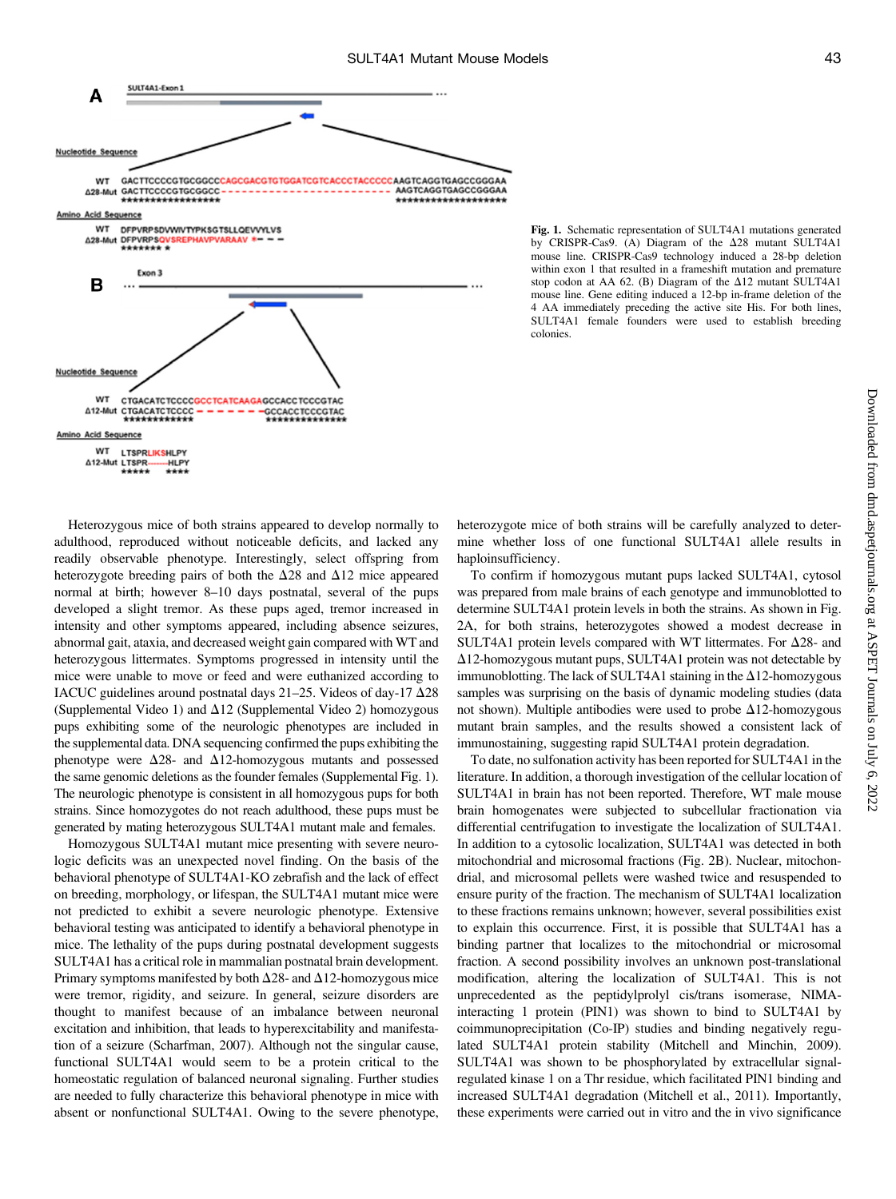

Fig. 1. Schematic representation of SULT4A1 mutations generated by CRISPR-Cas9. (A) Diagram of the  $\Delta 28$  mutant SULT4A1 mouse line. CRISPR-Cas9 technology induced a 28-bp deletion within exon 1 that resulted in a frameshift mutation and premature stop codon at AA 62. (B) Diagram of the  $\Delta$ 12 mutant SULT4A1 mouse line. Gene editing induced a 12-bp in-frame deletion of the 4 AA immediately preceding the active site His. For both lines, SULT4A1 female founders were used to establish breeding colonies.

Heterozygous mice of both strains appeared to develop normally to adulthood, reproduced without noticeable deficits, and lacked any readily observable phenotype. Interestingly, select offspring from heterozygote breeding pairs of both the  $\Delta$ 28 and  $\Delta$ 12 mice appeared normal at birth; however 8–10 days postnatal, several of the pups developed a slight tremor. As these pups aged, tremor increased in intensity and other symptoms appeared, including absence seizures, abnormal gait, ataxia, and decreased weight gain compared with WT and heterozygous littermates. Symptoms progressed in intensity until the mice were unable to move or feed and were euthanized according to IACUC guidelines around postnatal days 21-25. Videos of day-17  $\Delta$ 28 [\(Supplemental Video 1\)](http://dmd.aspetjournals.org/lookup/suppl/doi:10.1124/dmd.117.077560/-/DC1) and  $\Delta$ 12 ([Supplemental Video 2](http://dmd.aspetjournals.org/lookup/suppl/doi:10.1124/dmd.117.077560/-/DC1)) homozygous pups exhibiting some of the neurologic phenotypes are included in the supplemental data. DNA sequencing confirmed the pups exhibiting the phenotype were  $\Delta 28$ - and  $\Delta 12$ -homozygous mutants and possessed the same genomic deletions as the founder females ([Supplemental Fig. 1\)](http://dmd.aspetjournals.org/lookup/suppl/doi:10.1124/dmd.117.077560/-/DC1). The neurologic phenotype is consistent in all homozygous pups for both strains. Since homozygotes do not reach adulthood, these pups must be generated by mating heterozygous SULT4A1 mutant male and females.

Homozygous SULT4A1 mutant mice presenting with severe neurologic deficits was an unexpected novel finding. On the basis of the behavioral phenotype of SULT4A1-KO zebrafish and the lack of effect on breeding, morphology, or lifespan, the SULT4A1 mutant mice were not predicted to exhibit a severe neurologic phenotype. Extensive behavioral testing was anticipated to identify a behavioral phenotype in mice. The lethality of the pups during postnatal development suggests SULT4A1 has a critical role in mammalian postnatal brain development. Primary symptoms manifested by both  $\Delta$ 28- and  $\Delta$ 12-homozygous mice were tremor, rigidity, and seizure. In general, seizure disorders are thought to manifest because of an imbalance between neuronal excitation and inhibition, that leads to hyperexcitability and manifestation of a seizure (Scharfman, 2007). Although not the singular cause, functional SULT4A1 would seem to be a protein critical to the homeostatic regulation of balanced neuronal signaling. Further studies are needed to fully characterize this behavioral phenotype in mice with absent or nonfunctional SULT4A1. Owing to the severe phenotype,

heterozygote mice of both strains will be carefully analyzed to determine whether loss of one functional SULT4A1 allele results in haploinsufficiency.

To confirm if homozygous mutant pups lacked SULT4A1, cytosol was prepared from male brains of each genotype and immunoblotted to determine SULT4A1 protein levels in both the strains. As shown in Fig. 2A, for both strains, heterozygotes showed a modest decrease in SULT4A1 protein levels compared with WT littermates. For  $\Delta 28$ - and  $\Delta$ 12-homozygous mutant pups, SULT4A1 protein was not detectable by immunoblotting. The lack of SULT4A1 staining in the  $\Delta$ 12-homozygous samples was surprising on the basis of dynamic modeling studies (data not shown). Multiple antibodies were used to probe  $\Delta 12$ -homozygous mutant brain samples, and the results showed a consistent lack of immunostaining, suggesting rapid SULT4A1 protein degradation.

To date, no sulfonation activity has been reported for SULT4A1 in the literature. In addition, a thorough investigation of the cellular location of SULT4A1 in brain has not been reported. Therefore, WT male mouse brain homogenates were subjected to subcellular fractionation via differential centrifugation to investigate the localization of SULT4A1. In addition to a cytosolic localization, SULT4A1 was detected in both mitochondrial and microsomal fractions (Fig. 2B). Nuclear, mitochondrial, and microsomal pellets were washed twice and resuspended to ensure purity of the fraction. The mechanism of SULT4A1 localization to these fractions remains unknown; however, several possibilities exist to explain this occurrence. First, it is possible that SULT4A1 has a binding partner that localizes to the mitochondrial or microsomal fraction. A second possibility involves an unknown post-translational modification, altering the localization of SULT4A1. This is not unprecedented as the peptidylprolyl cis/trans isomerase, NIMAinteracting 1 protein (PIN1) was shown to bind to SULT4A1 by coimmunoprecipitation (Co-IP) studies and binding negatively regulated SULT4A1 protein stability (Mitchell and Minchin, 2009). SULT4A1 was shown to be phosphorylated by extracellular signalregulated kinase 1 on a Thr residue, which facilitated PIN1 binding and increased SULT4A1 degradation (Mitchell et al., 2011). Importantly, these experiments were carried out in vitro and the in vivo significance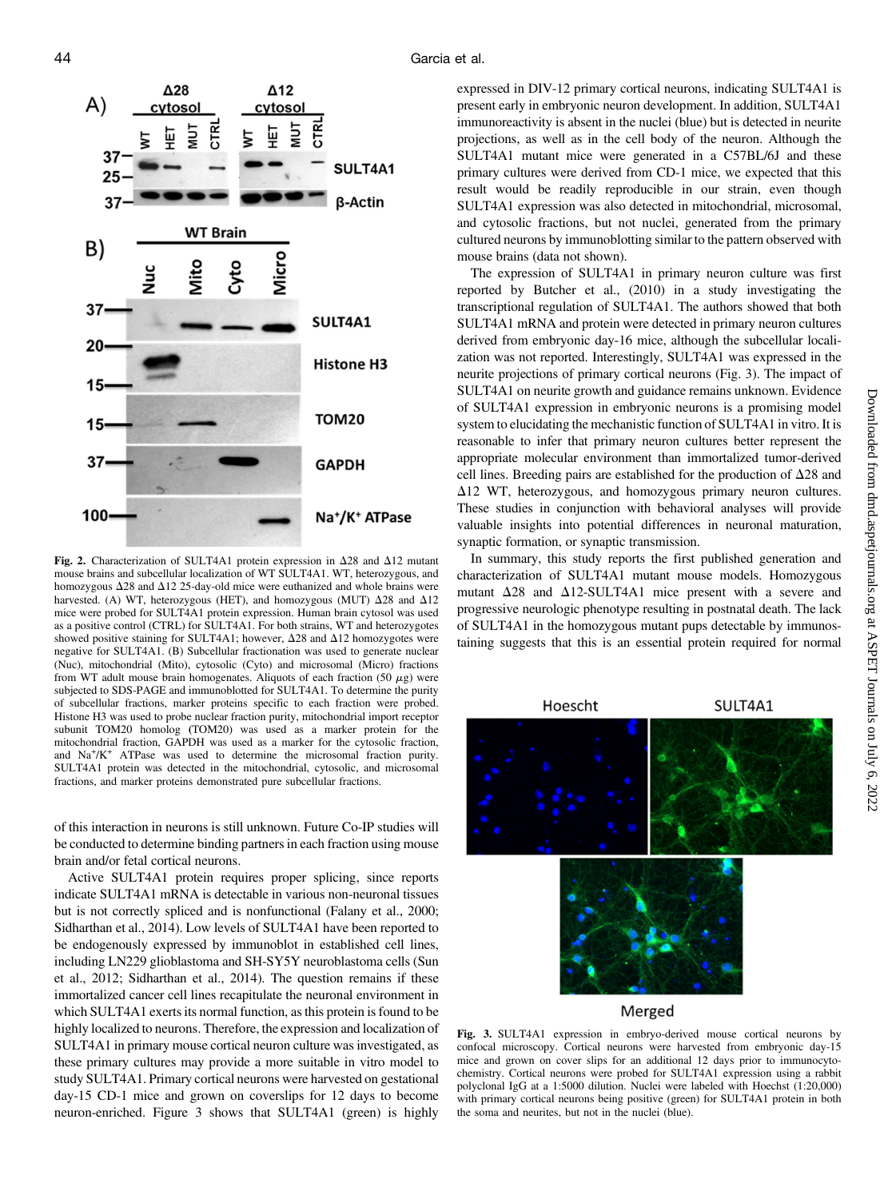

Fig. 2. Characterization of SULT4A1 protein expression in  $\Delta 28$  and  $\Delta 12$  mutant mouse brains and subcellular localization of WT SULT4A1. WT, heterozygous, and homozygous  $\Delta 28$  and  $\Delta 12$  25-day-old mice were euthanized and whole brains were harvested. (A) WT, heterozygous (HET), and homozygous (MUT)  $\Delta$ 28 and  $\Delta$ 12 mice were probed for SULT4A1 protein expression. Human brain cytosol was used as a positive control (CTRL) for SULT4A1. For both strains, WT and heterozygotes showed positive staining for SULT4A1; however,  $\Delta$ 28 and  $\Delta$ 12 homozygotes were negative for SULT4A1. (B) Subcellular fractionation was used to generate nuclear (Nuc), mitochondrial (Mito), cytosolic (Cyto) and microsomal (Micro) fractions from WT adult mouse brain homogenates. Aliquots of each fraction (50  $\mu$ g) were subjected to SDS-PAGE and immunoblotted for SULT4A1. To determine the purity of subcellular fractions, marker proteins specific to each fraction were probed. Histone H3 was used to probe nuclear fraction purity, mitochondrial import receptor subunit TOM20 homolog (TOM20) was used as a marker protein for the mitochondrial fraction, GAPDH was used as a marker for the cytosolic fraction, and Na<sup>+</sup>/K<sup>+</sup> ATPase was used to determine the microsomal fraction purity. SULT4A1 protein was detected in the mitochondrial, cytosolic, and microsomal fractions, and marker proteins demonstrated pure subcellular fractions.

of this interaction in neurons is still unknown. Future Co-IP studies will be conducted to determine binding partners in each fraction using mouse brain and/or fetal cortical neurons.

Active SULT4A1 protein requires proper splicing, since reports indicate SULT4A1 mRNA is detectable in various non-neuronal tissues but is not correctly spliced and is nonfunctional (Falany et al., 2000; Sidharthan et al., 2014). Low levels of SULT4A1 have been reported to be endogenously expressed by immunoblot in established cell lines, including LN229 glioblastoma and SH-SY5Y neuroblastoma cells (Sun et al., 2012; Sidharthan et al., 2014). The question remains if these immortalized cancer cell lines recapitulate the neuronal environment in which SULT4A1 exerts its normal function, as this protein is found to be highly localized to neurons. Therefore, the expression and localization of SULT4A1 in primary mouse cortical neuron culture was investigated, as these primary cultures may provide a more suitable in vitro model to study SULT4A1. Primary cortical neurons were harvested on gestational day-15 CD-1 mice and grown on coverslips for 12 days to become neuron-enriched. Figure 3 shows that SULT4A1 (green) is highly

expressed in DIV-12 primary cortical neurons, indicating SULT4A1 is present early in embryonic neuron development. In addition, SULT4A1 immunoreactivity is absent in the nuclei (blue) but is detected in neurite projections, as well as in the cell body of the neuron. Although the SULT4A1 mutant mice were generated in a C57BL/6J and these primary cultures were derived from CD-1 mice, we expected that this result would be readily reproducible in our strain, even though SULT4A1 expression was also detected in mitochondrial, microsomal, and cytosolic fractions, but not nuclei, generated from the primary cultured neurons by immunoblotting similar to the pattern observed with mouse brains (data not shown).

The expression of SULT4A1 in primary neuron culture was first reported by Butcher et al., (2010) in a study investigating the transcriptional regulation of SULT4A1. The authors showed that both SULT4A1 mRNA and protein were detected in primary neuron cultures derived from embryonic day-16 mice, although the subcellular localization was not reported. Interestingly, SULT4A1 was expressed in the neurite projections of primary cortical neurons (Fig. 3). The impact of SULT4A1 on neurite growth and guidance remains unknown. Evidence of SULT4A1 expression in embryonic neurons is a promising model system to elucidating the mechanistic function of SULT4A1 in vitro. It is reasonable to infer that primary neuron cultures better represent the appropriate molecular environment than immortalized tumor-derived cell lines. Breeding pairs are established for the production of  $\Delta 28$  and  $\Delta$ 12 WT, heterozygous, and homozygous primary neuron cultures. These studies in conjunction with behavioral analyses will provide valuable insights into potential differences in neuronal maturation, synaptic formation, or synaptic transmission.

In summary, this study reports the first published generation and characterization of SULT4A1 mutant mouse models. Homozygous mutant  $\Delta$ 28 and  $\Delta$ 12-SULT4A1 mice present with a severe and progressive neurologic phenotype resulting in postnatal death. The lack of SULT4A1 in the homozygous mutant pups detectable by immunostaining suggests that this is an essential protein required for normal



## Merged

Fig. 3. SULT4A1 expression in embryo-derived mouse cortical neurons by confocal microscopy. Cortical neurons were harvested from embryonic day-15 mice and grown on cover slips for an additional 12 days prior to immunocytochemistry. Cortical neurons were probed for SULT4A1 expression using a rabbit polyclonal IgG at a 1:5000 dilution. Nuclei were labeled with Hoechst (1:20,000) with primary cortical neurons being positive (green) for SULT4A1 protein in both the soma and neurites, but not in the nuclei (blue).